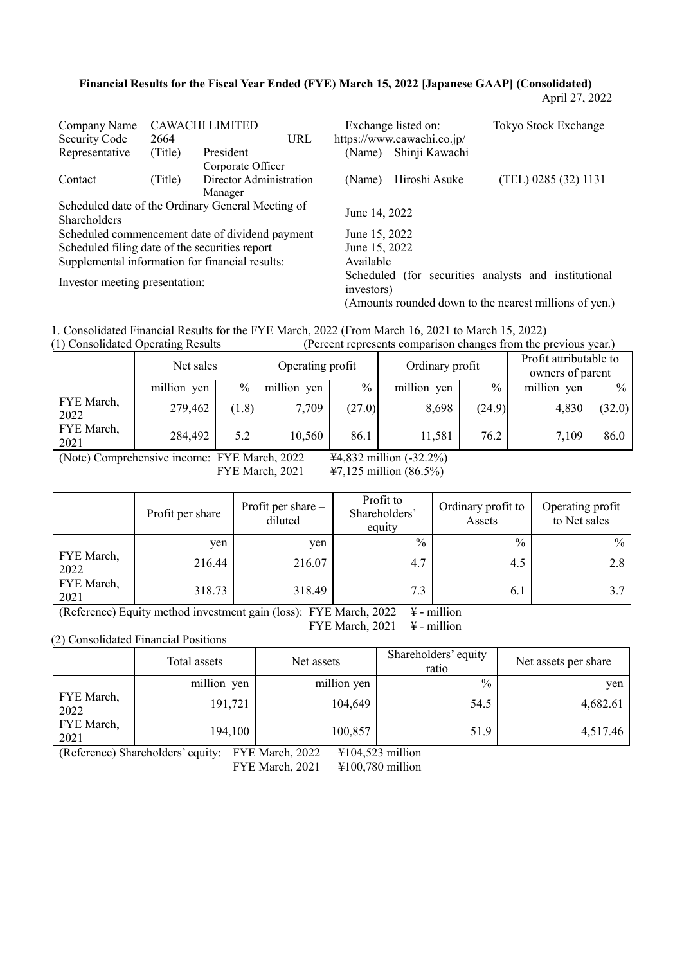### **Financial Results for the Fiscal Year Ended (FYE) March 15, 2022 [Japanese GAAP] (Consolidated)**

April 27, 2022

| Company Name                                   |         | CAWACHI LIMITED                                   |               | Exchange listed on:        | Tokyo Stock Exchange                                   |
|------------------------------------------------|---------|---------------------------------------------------|---------------|----------------------------|--------------------------------------------------------|
| Security Code                                  | 2664    | URL                                               |               | https://www.cawachi.co.jp/ |                                                        |
| Representative                                 | (Title) | President                                         | (Name)        | Shinji Kawachi             |                                                        |
|                                                |         | Corporate Officer                                 |               |                            |                                                        |
| Contact                                        | (Title) | Director Administration                           | (Name)        | Hiroshi Asuke              | (TEL) 0285 (32) 1131                                   |
|                                                |         | Manager                                           |               |                            |                                                        |
|                                                |         | Scheduled date of the Ordinary General Meeting of |               |                            |                                                        |
| <b>Shareholders</b>                            |         |                                                   | June 14, 2022 |                            |                                                        |
|                                                |         | Scheduled commencement date of dividend payment   | June 15, 2022 |                            |                                                        |
| Scheduled filing date of the securities report |         |                                                   | June 15, 2022 |                            |                                                        |
|                                                |         | Supplemental information for financial results:   | Available     |                            |                                                        |
| Investor meeting presentation:                 |         |                                                   | investors)    |                            | Scheduled (for securities analysts and institutional   |
|                                                |         |                                                   |               |                            | (Amounts rounded down to the nearest millions of yen.) |

1. Consolidated Financial Results for the FYE March, 2022 (From March 16, 2021 to March 15, 2022) (Percent represents comparison changes from the previous year.)

|                    | $\frac{1}{2}$ Consonance Operating Results |       |                  |               | $\mu$ credit represents comparison enanges from the previous year. |        |             |        |                 |  |                                            |  |
|--------------------|--------------------------------------------|-------|------------------|---------------|--------------------------------------------------------------------|--------|-------------|--------|-----------------|--|--------------------------------------------|--|
|                    | Net sales                                  |       | Operating profit |               |                                                                    |        |             |        | Ordinary profit |  | Profit attributable to<br>owners of parent |  |
|                    | million yen                                | $\%$  | million yen      | $\frac{0}{0}$ | million yen                                                        | $\%$   | million yen | $\%$   |                 |  |                                            |  |
| FYE March,<br>2022 | 279,462                                    | (1.8) | 7,709            | (27.0)        | 8,698                                                              | (24.9) | 4,830       | (32.0) |                 |  |                                            |  |
| FYE March,<br>2021 | 284,492                                    | 5.2   | 10,560           | 86.1          | 11,581                                                             | 76.2   | 7,109       | 86.0   |                 |  |                                            |  |

(Note) Comprehensive income: FYE March, 2022 ¥4,832 million (-32.2%)

FYE March, 2021 47,125 million (86.5%)

|                    | Profit per share | Profit per share -<br>diluted | Profit to<br>Shareholders'<br>equity | Ordinary profit to<br>Assets | Operating profit<br>to Net sales |
|--------------------|------------------|-------------------------------|--------------------------------------|------------------------------|----------------------------------|
|                    | ven              | yen                           | $\%$                                 | $\frac{0}{0}$                | $\frac{0}{0}$                    |
| FYE March,<br>2022 | 216.44           | 216.07                        | 4.7                                  | 4.5                          | 2.8                              |
| FYE March,<br>2021 | 318.73           | 318.49                        | 7.3                                  | 6.1                          | 3.7                              |

(Reference) Equity method investment gain (loss): FYE March,  $2022 \div -$  million FYE March,  $2021 \quad \frac{1}{2}$  - million

(2) Consolidated Financial Positions

|                    | Total assets | Net assets  | Shareholders' equity<br>ratio | Net assets per share |
|--------------------|--------------|-------------|-------------------------------|----------------------|
|                    | million yen  | million yen | $\frac{0}{0}$                 | yen                  |
| FYE March,<br>2022 | 191,721      | 104,649     | 54.5                          | 4,682.61             |
| FYE March,<br>2021 | 194,100      | 100,857     | 51.9                          | 4,517.46             |

(Reference) Shareholders' equity: FYE March, 2022 ¥104,523 million

FYE March, 2021 ¥100,780 million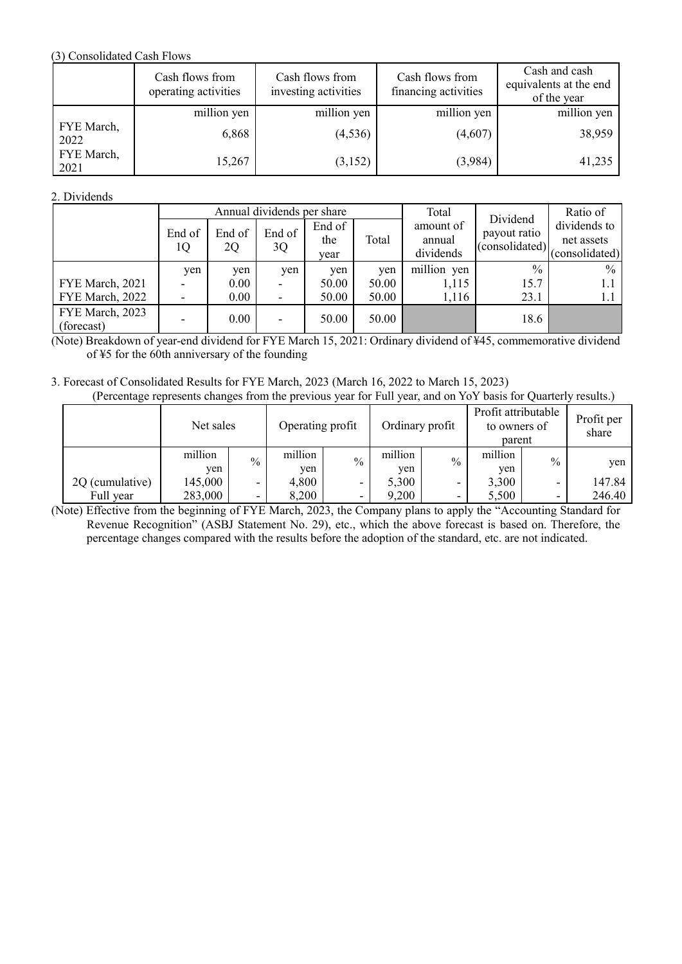### (3) Consolidated Cash Flows

|                    | Cash flows from<br>operating activities | Cash flows from<br>investing activities | Cash flows from<br>financing activities | Cash and cash<br>equivalents at the end<br>of the year |
|--------------------|-----------------------------------------|-----------------------------------------|-----------------------------------------|--------------------------------------------------------|
|                    | million yen                             | million yen                             | million yen                             | million yen                                            |
| FYE March,<br>2022 | 6,868                                   | (4, 536)                                | (4,607)                                 | 38,959                                                 |
| FYE March,<br>2021 | 15,267                                  | (3,152)                                 | (3,984)                                 | 41,235                                                 |

## 2. Dividends

|                               |              |              | Annual dividends per share |                       | Total | Dividend                         | Ratio of                       |                                              |
|-------------------------------|--------------|--------------|----------------------------|-----------------------|-------|----------------------------------|--------------------------------|----------------------------------------------|
|                               | End of<br>1Q | End of<br>2Q | End of<br>3Q               | End of<br>the<br>vear | Total | amount of<br>annual<br>dividends | payout ratio<br>(consolidated) | dividends to<br>net assets<br>(consolidated) |
|                               | yen          | yen          | yen                        | ven                   | yen   | million yen                      | $\%$                           | $\%$                                         |
| FYE March, 2021               |              | 0.00         |                            | 50.00                 | 50.00 | 1,115                            | 15.7                           | 1.1                                          |
| FYE March, 2022               |              | 0.00         |                            | 50.00                 | 50.00 | 1,116                            | 23.1                           | 1.1                                          |
| FYE March, 2023<br>(forecast) |              | 0.00         |                            | 50.00                 | 50.00 |                                  | 18.6                           |                                              |

(Note) Breakdown of year-end dividend for FYE March 15, 2021: Ordinary dividend of ¥45, commemorative dividend of ¥5 for the 60th anniversary of the founding

#### 3. Forecast of Consolidated Results for FYE March, 2023 (March 16, 2022 to March 15, 2023) (Percentage represents changes from the previous year for Full year, and on YoY basis for Quarterly results.)

| ັ               |                | ັ             |                  |               |                 |               |                                               |               |                     |
|-----------------|----------------|---------------|------------------|---------------|-----------------|---------------|-----------------------------------------------|---------------|---------------------|
|                 | Net sales      |               | Operating profit |               | Ordinary profit |               | Profit attributable<br>to owners of<br>parent |               | Profit per<br>share |
|                 | million<br>ven | $\frac{0}{0}$ | million<br>yen   | $\frac{0}{0}$ | million<br>yen  | $\frac{0}{0}$ | million<br>yen                                | $\frac{0}{0}$ | yen                 |
| 2Q (cumulative) | 145,000        |               | 4,800            | -             | 5,300           |               | 3,300                                         | -             | 147.84              |
| Full year       | 283,000        |               | 8,200            |               | 9,200           |               | 5,500                                         |               | 246.40              |

(Note) Effective from the beginning of FYE March, 2023, the Company plans to apply the "Accounting Standard for Revenue Recognition" (ASBJ Statement No. 29), etc., which the above forecast is based on. Therefore, the percentage changes compared with the results before the adoption of the standard, etc. are not indicated.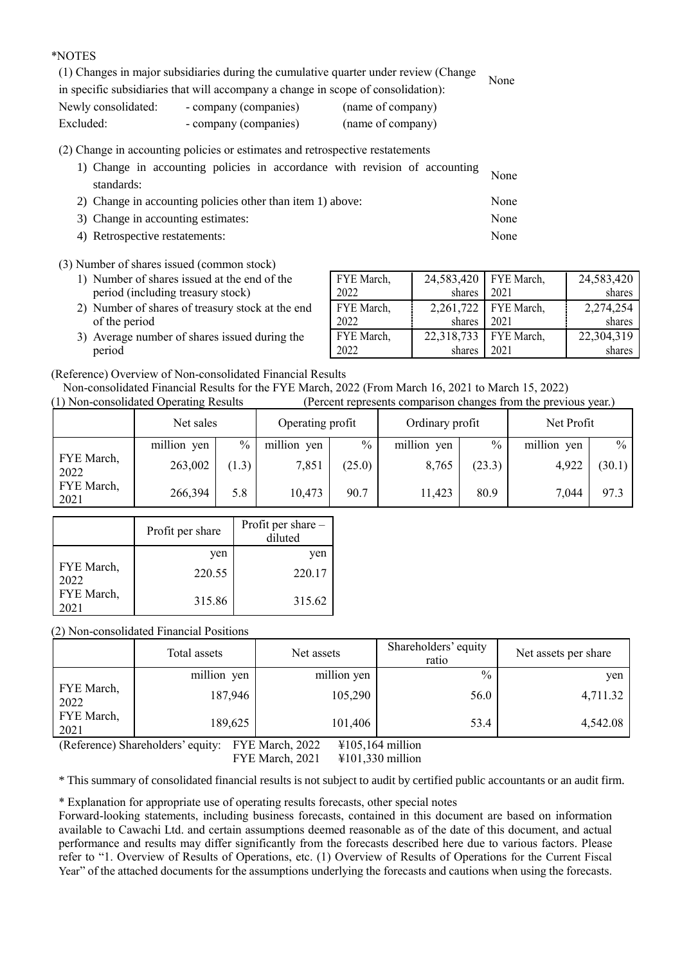### \*NOTES

(1) Changes in major subsidiaries during the cumulative quarter under review (Change in specific subsidiaries that will accompany a change in scope of consolidation): None Newly consolidated: - company (companies) (name of company) Excluded: - company (companies) (name of company)

(2) Change in accounting policies or estimates and retrospective restatements

| 1) Change in accounting policies in accordance with revision of accounting | None |
|----------------------------------------------------------------------------|------|
| standards:                                                                 |      |
| 2) Change in accounting policies other than item 1) above:                 | None |
| 3) Change in accounting estimates:                                         | None |
| 4) Retrospective restatements:                                             | None |

### (3) Number of shares issued (common stock)

- 1) Number of shares issued at the end of the period (including treasury stock)
- 2) Number of shares of treasury stock at the end of the period
- 3) Average number of shares issued during the period

| FYE March, | 24,583,420   FYE March, |                        | 24,583,420 |
|------------|-------------------------|------------------------|------------|
| 2022       | shares                  | 2021                   | shares     |
| FYE March, |                         | 2,261,722   FYE March, | 2,274,254  |
| 2022       | shares                  | 2021                   | shares     |
| FYE March, | 22,318,733              | FYE March,             | 22,304,319 |
| 2022       | shares                  | 2021                   | shares     |

(Reference) Overview of Non-consolidated Financial Results

Non-consolidated Financial Results for the FYE March, 2022 (From March 16, 2021 to March 15, 2022)

|  | (1) Non-consolidated Operating Results |  | (Percent represents comparison changes from the previous year.) |  |
|--|----------------------------------------|--|-----------------------------------------------------------------|--|
|  |                                        |  |                                                                 |  |

|                    | Net sales   |       | Operating profit |               | Ordinary profit |               | Net Profit  |        |
|--------------------|-------------|-------|------------------|---------------|-----------------|---------------|-------------|--------|
|                    | million yen | $\%$  | million yen      | $\frac{0}{0}$ | million yen     | $\frac{0}{0}$ | million yen | $\%$   |
| FYE March,<br>2022 | 263,002     | (1.3) | 7,851            | (25.0)        | 8,765           | (23.3)        | 4,922       | (30.1) |
| FYE March,<br>2021 | 266,394     | 5.8   | 10,473           | 90.7          | 11,423          | 80.9          | 7,044       | 97.3   |

|                    | Profit per share | Profit per share -<br>diluted |
|--------------------|------------------|-------------------------------|
|                    | yen              | yen                           |
| FYE March,<br>2022 | 220.55           | 220.17                        |
| FYE March,<br>2021 | 315.86           | 315.62                        |

(2) Non-consolidated Financial Positions

|                    | Total assets | Net assets  | Shareholders' equity<br>ratio | Net assets per share |
|--------------------|--------------|-------------|-------------------------------|----------------------|
|                    | million yen  | million yen | $\frac{0}{0}$                 | yen                  |
| FYE March,<br>2022 | 187,946      | 105,290     | 56.0                          | 4,711.32             |
| FYE March,<br>2021 | 189,625      | 101,406     | 53.4                          | 4,542.08             |

(Reference) Shareholders' equity: FYE March, 2022 ¥105,164 million FYE March, 2021 ¥101,330 million

\* This summary of consolidated financial results is not subject to audit by certified public accountants or an audit firm.

\* Explanation for appropriate use of operating results forecasts, other special notes

Forward-looking statements, including business forecasts, contained in this document are based on information available to Cawachi Ltd. and certain assumptions deemed reasonable as of the date of this document, and actual performance and results may differ significantly from the forecasts described here due to various factors. Please refer to "1. Overview of Results of Operations, etc. (1) Overview of Results of Operations for the Current Fiscal Year" of the attached documents for the assumptions underlying the forecasts and cautions when using the forecasts.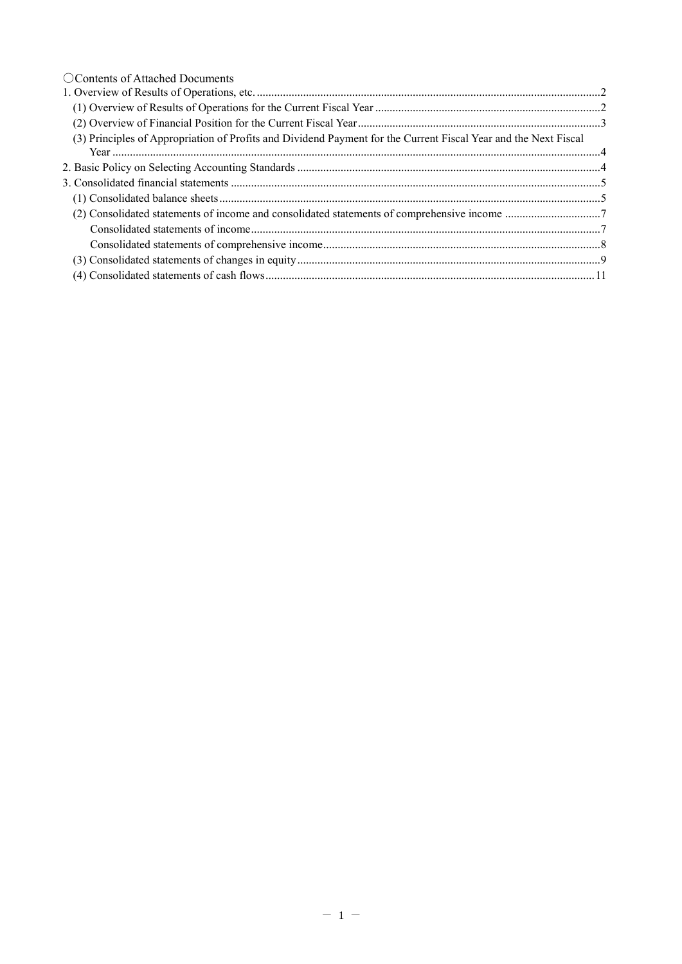| ○ Contents of Attached Documents                                                                                |  |
|-----------------------------------------------------------------------------------------------------------------|--|
|                                                                                                                 |  |
|                                                                                                                 |  |
|                                                                                                                 |  |
| (3) Principles of Appropriation of Profits and Dividend Payment for the Current Fiscal Year and the Next Fiscal |  |
|                                                                                                                 |  |
|                                                                                                                 |  |
|                                                                                                                 |  |
|                                                                                                                 |  |
|                                                                                                                 |  |
|                                                                                                                 |  |
|                                                                                                                 |  |
|                                                                                                                 |  |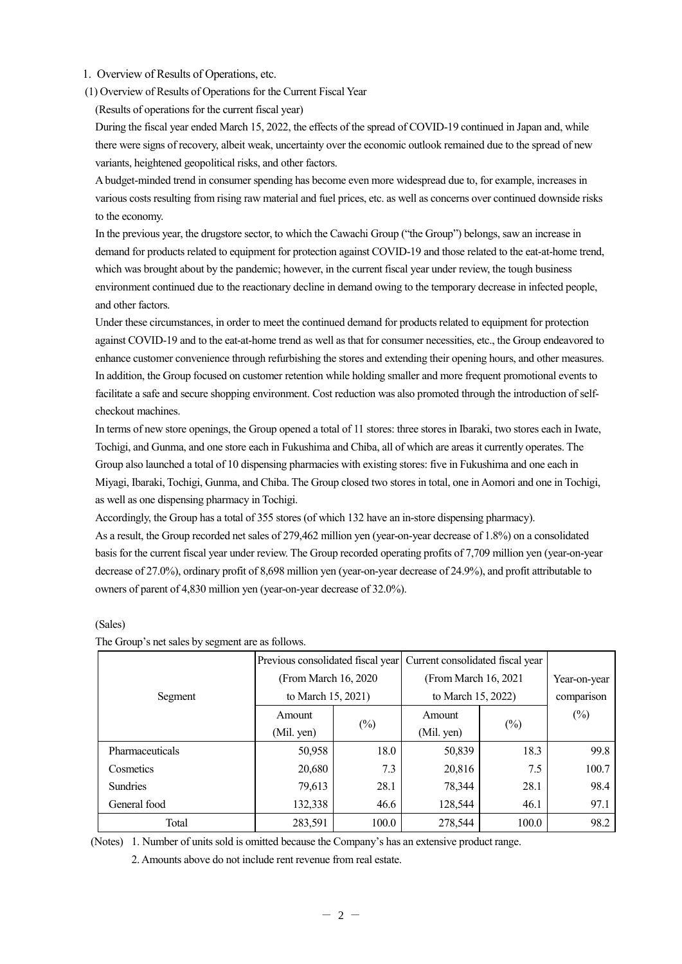- 1. Overview of Results of Operations, etc.
- (1) Overview of Results of Operations for the Current Fiscal Year
	- (Results of operations for the current fiscal year)

During the fiscal year ended March 15, 2022, the effects of the spread of COVID-19 continued in Japan and, while there were signs of recovery, albeit weak, uncertainty over the economic outlook remained due to the spread of new variants, heightened geopolitical risks, and other factors.

A budget-minded trend in consumer spending has become even more widespread due to, for example, increases in various costs resulting from rising raw material and fuel prices, etc. as well as concerns over continued downside risks to the economy.

In the previous year, the drugstore sector, to which the Cawachi Group ("the Group") belongs, saw an increase in demand for products related to equipment for protection against COVID-19 and those related to the eat-at-home trend, which was brought about by the pandemic; however, in the current fiscal year under review, the tough business environment continued due to the reactionary decline in demand owing to the temporary decrease in infected people, and other factors.

Under these circumstances, in order to meet the continued demand for products related to equipment for protection against COVID-19 and to the eat-at-home trend as well as that for consumer necessities, etc., the Group endeavored to enhance customer convenience through refurbishing the stores and extending their opening hours, and other measures. In addition, the Group focused on customer retention while holding smaller and more frequent promotional events to facilitate a safe and secure shopping environment. Cost reduction was also promoted through the introduction of selfcheckout machines.

In terms of new store openings, the Group opened a total of 11 stores: three stores in Ibaraki, two stores each in Iwate, Tochigi, and Gunma, and one store each in Fukushima and Chiba, all of which are areas it currently operates. The Group also launched a total of 10 dispensing pharmacies with existing stores: five in Fukushima and one each in Miyagi, Ibaraki, Tochigi, Gunma, and Chiba. The Group closed two stores in total, one in Aomori and one in Tochigi, as well as one dispensing pharmacy in Tochigi.

Accordingly, the Group has a total of 355 stores (of which 132 have an in-store dispensing pharmacy). As a result, the Group recorded net sales of 279,462 million yen (year-on-year decrease of 1.8%) on a consolidated basis for the current fiscal year under review. The Group recorded operating profits of 7,709 million yen (year-on-year decrease of 27.0%), ordinary profit of 8,698 million yen (year-on-year decrease of 24.9%), and profit attributable to owners of parent of 4,830 million yen (year-on-year decrease of 32.0%).

|                 | Previous consolidated fiscal year |        | Current consolidated fiscal year |        |              |
|-----------------|-----------------------------------|--------|----------------------------------|--------|--------------|
|                 | (From March 16, 2020)             |        | (From March 16, 2021)            |        | Year-on-year |
| Segment         | to March 15, 2021)                |        | to March 15, 2022)               |        | comparison   |
|                 | Amount                            |        | Amount                           |        | $(\%)$       |
|                 | (Mil. yen)                        | $(\%)$ | (Mil. yen)                       | $(\%)$ |              |
| Pharmaceuticals | 50,958                            | 18.0   | 50,839                           | 18.3   | 99.8         |
| Cosmetics       | 20,680                            | 7.3    | 20,816                           | 7.5    | 100.7        |
| <b>Sundries</b> | 79,613                            | 28.1   | 78,344                           | 28.1   | 98.4         |
| General food    | 132,338                           | 46.6   | 128,544                          | 46.1   | 97.1         |
| Total           | 283,591                           | 100.0  | 278,544                          | 100.0  | 98.2         |

(Sales)

The Group's net sales by segment are as follows.

(Notes) 1. Number of units sold is omitted because the Company's has an extensive product range.

2. Amounts above do not include rent revenue from real estate.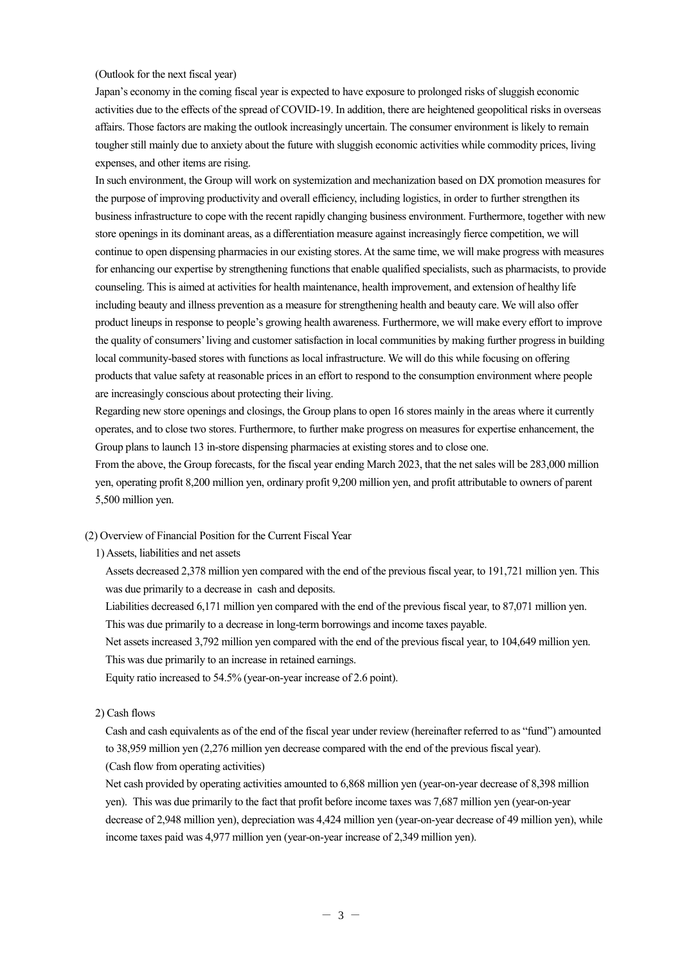#### (Outlook for the next fiscal year)

Japan's economy in the coming fiscal year is expected to have exposure to prolonged risks of sluggish economic activities due to the effects of the spread of COVID-19. In addition, there are heightened geopolitical risks in overseas affairs. Those factors are making the outlook increasingly uncertain. The consumer environment is likely to remain tougher still mainly due to anxiety about the future with sluggish economic activities while commodity prices, living expenses, and other items are rising.

In such environment, the Group will work on systemization and mechanization based on DX promotion measures for the purpose of improving productivity and overall efficiency, including logistics, in order to further strengthen its business infrastructure to cope with the recent rapidly changing business environment. Furthermore, together with new store openings in its dominant areas, as a differentiation measure against increasingly fierce competition, we will continue to open dispensing pharmacies in our existing stores. At the same time, we will make progress with measures for enhancing our expertise by strengthening functions that enable qualified specialists, such as pharmacists, to provide counseling. This is aimed at activities for health maintenance, health improvement, and extension of healthy life including beauty and illness prevention as a measure for strengthening health and beauty care. We will also offer product lineups in response to people's growing health awareness. Furthermore, we will make every effort to improve the quality of consumers' living and customer satisfaction in local communities by making further progress in building local community-based stores with functions as local infrastructure. We will do this while focusing on offering products that value safety at reasonable prices in an effort to respond to the consumption environment where people are increasingly conscious about protecting their living.

Regarding new store openings and closings, the Group plans to open 16 stores mainly in the areas where it currently operates, and to close two stores. Furthermore, to further make progress on measures for expertise enhancement, the Group plans to launch 13 in-store dispensing pharmacies at existing stores and to close one.

From the above, the Group forecasts, for the fiscal year ending March 2023, that the net sales will be 283,000 million yen, operating profit 8,200 million yen, ordinary profit 9,200 million yen, and profit attributable to owners of parent 5,500 million yen.

(2) Overview of Financial Position for the Current Fiscal Year

1) Assets, liabilities and net assets

Assets decreased 2,378 million yen compared with the end of the previous fiscal year, to 191,721 million yen. This was due primarily to a decrease in cash and deposits.

Liabilities decreased 6,171 million yen compared with the end of the previous fiscal year, to 87,071 million yen. This was due primarily to a decrease in long-term borrowings and income taxes payable.

Net assets increased 3,792 million yen compared with the end of the previous fiscal year, to 104,649 million yen. This was due primarily to an increase in retained earnings.

Equity ratio increased to 54.5% (year-on-year increase of 2.6 point).

#### 2) Cash flows

Cash and cash equivalents as of the end of the fiscal year under review (hereinafter referred to as "fund") amounted to 38,959 million yen (2,276 million yen decrease compared with the end of the previous fiscal year). (Cash flow from operating activities)

Net cash provided by operating activities amounted to 6,868 million yen (year-on-year decrease of 8,398 million yen). This was due primarily to the fact that profit before income taxes was 7,687 million yen (year-on-year decrease of 2,948 million yen), depreciation was 4,424 million yen (year-on-year decrease of 49 million yen), while income taxes paid was 4,977 million yen (year-on-year increase of 2,349 million yen).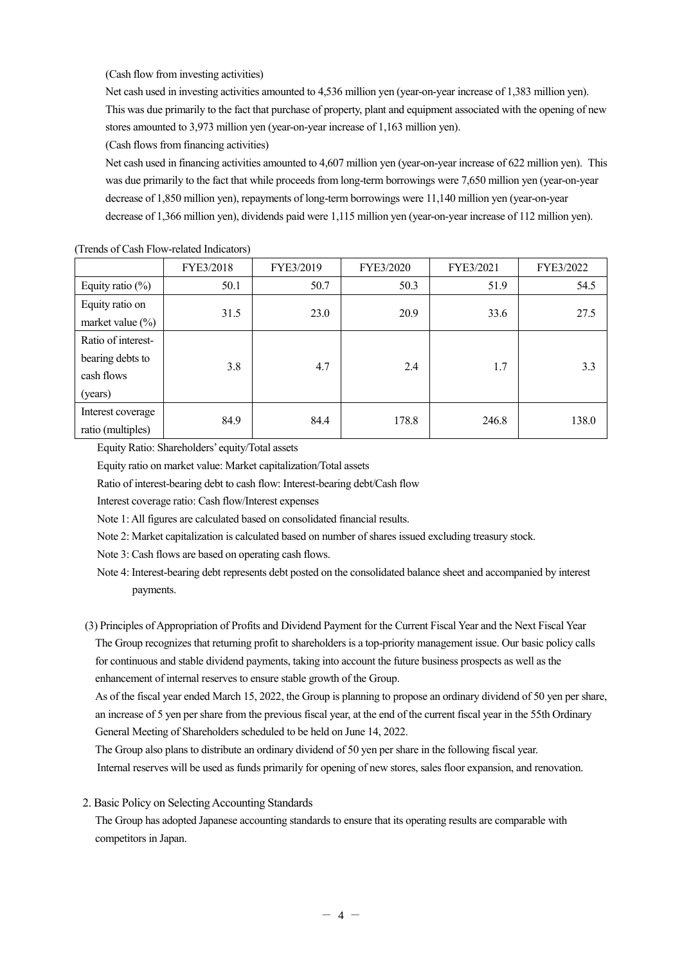(Cash flow from investing activities)

Net cash used in investing activities amounted to 4,536 million yen (year-on-year increase of 1,383 million yen). This was due primarily to the fact that purchase of property, plant and equipment associated with the opening of new stores amounted to 3,973 million yen (year-on-year increase of 1,163 million yen).

(Cash flows from financing activities)

Net cash used in financing activities amounted to 4,607 million yen (year-on-year increase of 622 million yen). This was due primarily to the fact that while proceeds from long-term borrowings were 7,650 million yen (year-on-year decrease of 1,850 million yen), repayments of long-term borrowings were 11,140 million yen (year-on-year decrease of 1,366 million yen), dividends paid were 1,115 million yen (year-on-year increase of 112 million yen).

|                                                                 | FYE3/2018 | FYE3/2019 | FYE3/2020 | FYE3/2021 | FYE3/2022 |
|-----------------------------------------------------------------|-----------|-----------|-----------|-----------|-----------|
| Equity ratio $(\%)$                                             | 50.1      | 50.7      | 50.3      | 51.9      | 54.5      |
| Equity ratio on<br>market value $(\%)$                          | 31.5      | 23.0      | 20.9      | 33.6      | 27.5      |
| Ratio of interest-<br>bearing debts to<br>cash flows<br>(years) | 3.8       | 4.7       | 2.4       | 1.7       | 3.3       |
| Interest coverage<br>ratio (multiples)                          | 84.9      | 84.4      | 178.8     | 246.8     | 138.0     |

(Trends of Cash Flow-related Indicators)

Equity Ratio: Shareholders' equity/Total assets

Equity ratio on market value: Market capitalization/Total assets

Ratio of interest-bearing debt to cash flow: Interest-bearing debt/Cash flow

Interest coverage ratio: Cash flow/Interest expenses

Note 1: All figures are calculated based on consolidated financial results.

Note 2: Market capitalization is calculated based on number of shares issued excluding treasury stock.

Note 3: Cash flows are based on operating cash flows.

Note 4: Interest-bearing debt represents debt posted on the consolidated balance sheet and accompanied by interest payments.

(3) Principles of Appropriation of Profits and Dividend Payment for the Current Fiscal Year and the Next Fiscal Year The Group recognizes that returning profit to shareholders is a top-priority management issue. Our basic policy calls for continuous and stable dividend payments, taking into account the future business prospects as well as the enhancement of internal reserves to ensure stable growth of the Group.

As of the fiscal year ended March 15, 2022, the Group is planning to propose an ordinary dividend of 50 yen per share, an increase of 5 yen per share from the previous fiscal year, at the end of the current fiscal year in the 55th Ordinary General Meeting of Shareholders scheduled to be held on June 14, 2022.

The Group also plans to distribute an ordinary dividend of 50 yen per share in the following fiscal year. Internal reserves will be used as funds primarily for opening of new stores, sales floor expansion, and renovation.

2. Basic Policy on Selecting Accounting Standards

The Group has adopted Japanese accounting standards to ensure that its operating results are comparable with competitors in Japan.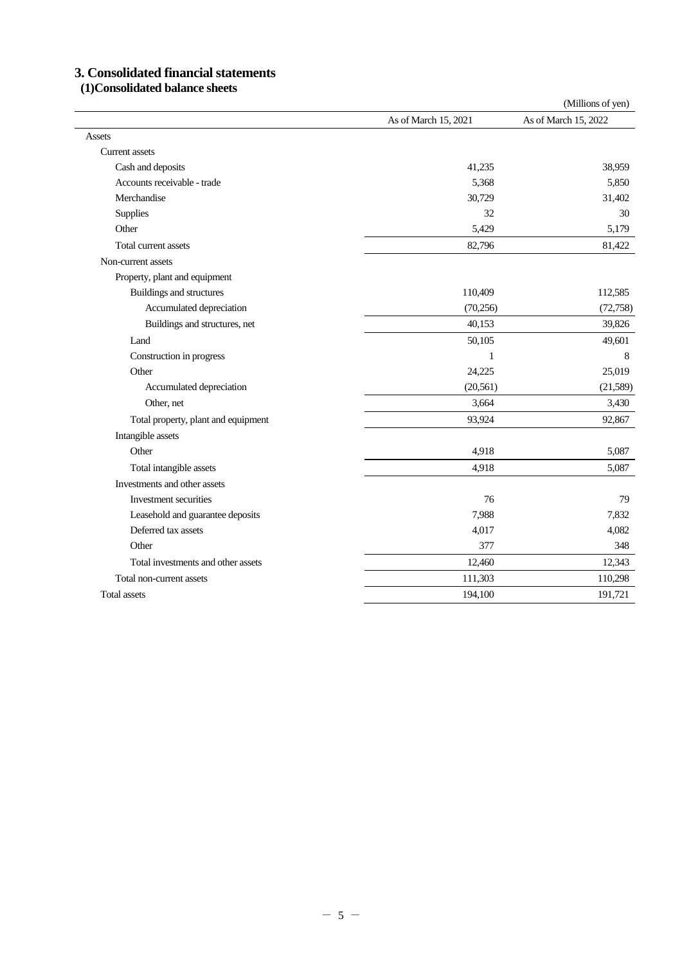# **3. Consolidated financial statements**

## **(1)Consolidated balance sheets**

|                                     |                      | (Millions of yen)    |
|-------------------------------------|----------------------|----------------------|
|                                     | As of March 15, 2021 | As of March 15, 2022 |
| Assets                              |                      |                      |
| <b>Current assets</b>               |                      |                      |
| Cash and deposits                   | 41,235               | 38,959               |
| Accounts receivable - trade         | 5,368                | 5,850                |
| Merchandise                         | 30,729               | 31,402               |
| Supplies                            | 32                   | 30                   |
| Other                               | 5,429                | 5,179                |
| Total current assets                | 82,796               | 81,422               |
| Non-current assets                  |                      |                      |
| Property, plant and equipment       |                      |                      |
| Buildings and structures            | 110,409              | 112,585              |
| Accumulated depreciation            | (70, 256)            | (72, 758)            |
| Buildings and structures, net       | 40,153               | 39,826               |
| Land                                | 50,105               | 49,601               |
| Construction in progress            | $\mathbf{1}$         | 8                    |
| Other                               | 24,225               | 25,019               |
| Accumulated depreciation            | (20, 561)            | (21,589)             |
| Other, net                          | 3,664                | 3,430                |
| Total property, plant and equipment | 93,924               | 92,867               |
| Intangible assets                   |                      |                      |
| Other                               | 4,918                | 5,087                |
| Total intangible assets             | 4,918                | 5,087                |
| Investments and other assets        |                      |                      |
| Investment securities               | 76                   | 79                   |
| Leasehold and guarantee deposits    | 7,988                | 7,832                |
| Deferred tax assets                 | 4,017                | 4,082                |
| Other                               | 377                  | 348                  |
| Total investments and other assets  | 12,460               | 12,343               |
| Total non-current assets            | 111,303              | 110,298              |
| <b>Total assets</b>                 | 194,100              | 191,721              |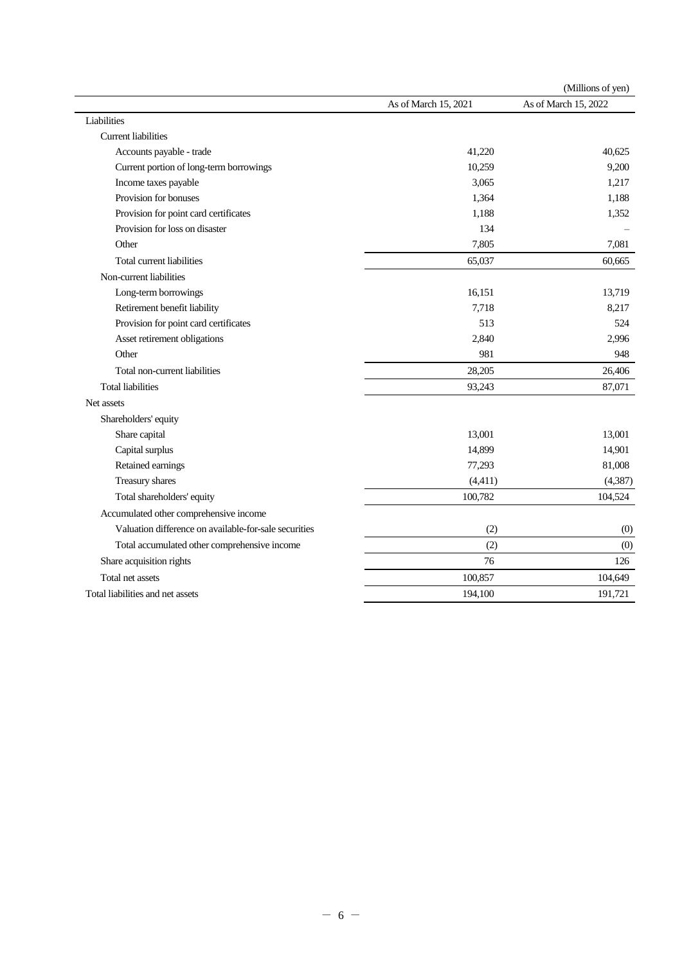|                                                       |                      | (Millions of yen)    |
|-------------------------------------------------------|----------------------|----------------------|
|                                                       | As of March 15, 2021 | As of March 15, 2022 |
| Liabilities                                           |                      |                      |
| <b>Current liabilities</b>                            |                      |                      |
| Accounts payable - trade                              | 41,220               | 40,625               |
| Current portion of long-term borrowings               | 10,259               | 9,200                |
| Income taxes payable                                  | 3,065                | 1,217                |
| Provision for bonuses                                 | 1,364                | 1,188                |
| Provision for point card certificates                 | 1,188                | 1,352                |
| Provision for loss on disaster                        | 134                  |                      |
| Other                                                 | 7,805                | 7,081                |
| Total current liabilities                             | 65,037               | 60,665               |
| Non-current liabilities                               |                      |                      |
| Long-term borrowings                                  | 16,151               | 13,719               |
| Retirement benefit liability                          | 7,718                | 8,217                |
| Provision for point card certificates                 | 513                  | 524                  |
| Asset retirement obligations                          | 2,840                | 2,996                |
| Other                                                 | 981                  | 948                  |
| Total non-current liabilities                         | 28,205               | 26,406               |
| <b>Total liabilities</b>                              | 93,243               | 87,071               |
| Net assets                                            |                      |                      |
| Shareholders' equity                                  |                      |                      |
| Share capital                                         | 13,001               | 13,001               |
| Capital surplus                                       | 14,899               | 14,901               |
| Retained earnings                                     | 77,293               | 81,008               |
| Treasury shares                                       | (4, 411)             | (4, 387)             |
| Total shareholders' equity                            | 100,782              | 104,524              |
| Accumulated other comprehensive income                |                      |                      |
| Valuation difference on available-for-sale securities | (2)                  | (0)                  |
| Total accumulated other comprehensive income          | (2)                  | (0)                  |
| Share acquisition rights                              | 76                   | 126                  |
| Total net assets                                      | 100,857              | 104,649              |
| Total liabilities and net assets                      | 194,100              | 191,721              |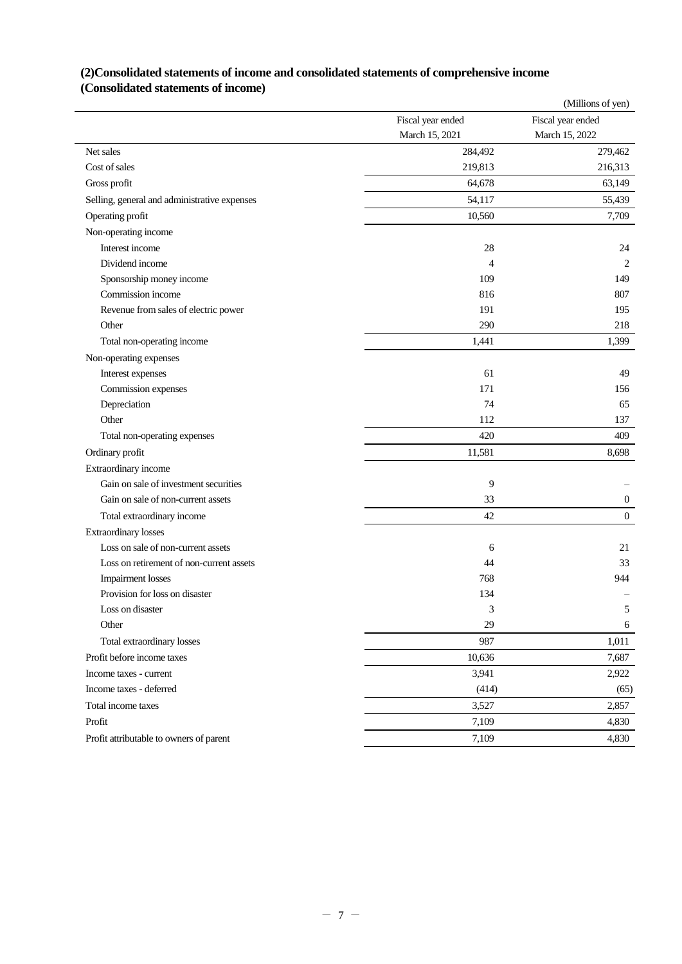## **(2)Consolidated statements of income and consolidated statements of comprehensive income (Consolidated statements of income)**

|                                              |                   | (Millions of yen) |
|----------------------------------------------|-------------------|-------------------|
|                                              | Fiscal year ended | Fiscal year ended |
|                                              | March 15, 2021    | March 15, 2022    |
| Net sales                                    | 284,492           | 279,462           |
| Cost of sales                                | 219,813           | 216,313           |
| Gross profit                                 | 64,678            | 63,149            |
| Selling, general and administrative expenses | 54,117            | 55,439            |
| Operating profit                             | 10,560            | 7,709             |
| Non-operating income                         |                   |                   |
| Interest income                              | 28                | 24                |
| Dividend income                              | 4                 | 2                 |
| Sponsorship money income                     | 109               | 149               |
| Commission income                            | 816               | 807               |
| Revenue from sales of electric power         | 191               | 195               |
| Other                                        | 290               | 218               |
| Total non-operating income                   | 1,441             | 1,399             |
| Non-operating expenses                       |                   |                   |
| Interest expenses                            | 61                | 49                |
| Commission expenses                          | 171               | 156               |
| Depreciation                                 | 74                | 65                |
| Other                                        | 112               | 137               |
| Total non-operating expenses                 | 420               | 409               |
| Ordinary profit                              | 11,581            | 8,698             |
| Extraordinary income                         |                   |                   |
| Gain on sale of investment securities        | 9                 |                   |
| Gain on sale of non-current assets           | 33                | $\boldsymbol{0}$  |
| Total extraordinary income                   | 42                | $\boldsymbol{0}$  |
| <b>Extraordinary losses</b>                  |                   |                   |
| Loss on sale of non-current assets           | 6                 | 21                |
| Loss on retirement of non-current assets     | 44                | 33                |
| <b>Impairment</b> losses                     | 768               | 944               |
| Provision for loss on disaster               | 134               |                   |
| Loss on disaster                             | 3                 | 5                 |
| Other                                        | 29                | 6                 |
| Total extraordinary losses                   | 987               | 1,011             |
| Profit before income taxes                   | 10,636            | 7,687             |
| Income taxes - current                       | 3,941             | 2,922             |
| Income taxes - deferred                      | (414)             | (65)              |
| Total income taxes                           | 3,527             | 2,857             |
| Profit                                       | 7,109             | 4,830             |
| Profit attributable to owners of parent      | 7,109             | 4,830             |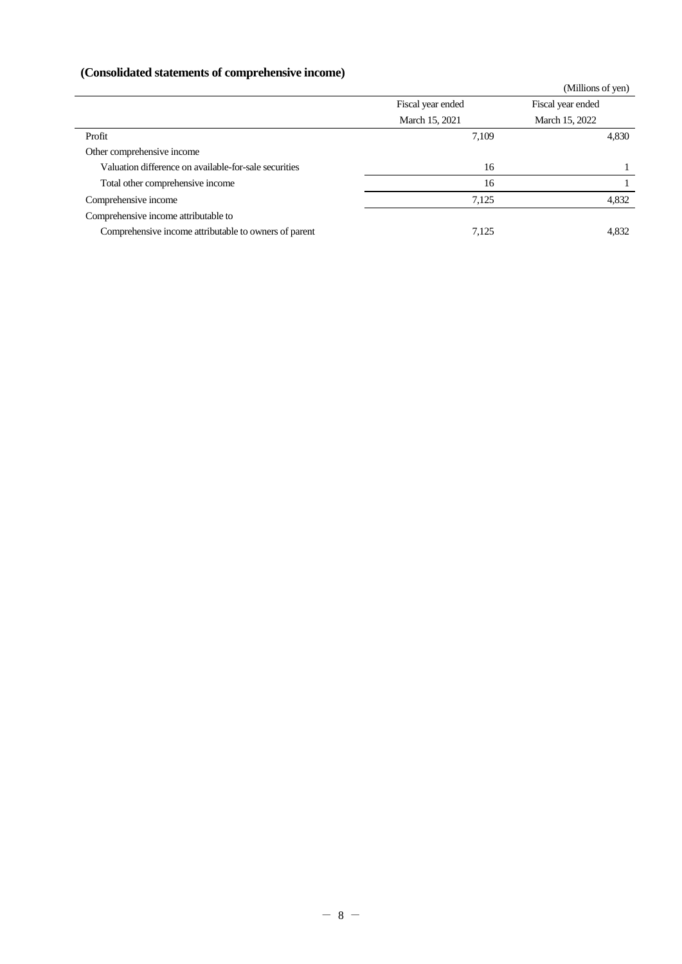# **(Consolidated statements of comprehensive income)**

| Consonuated statements of comprenensive income |                   |  |  |  |  |  |
|------------------------------------------------|-------------------|--|--|--|--|--|
|                                                | (Millions of yen) |  |  |  |  |  |
| Fiscal year ended                              | Fiscal year ended |  |  |  |  |  |
| March 15, 2021                                 | March 15, 2022    |  |  |  |  |  |
| 7,109                                          | 4,830             |  |  |  |  |  |
|                                                |                   |  |  |  |  |  |
| 16                                             |                   |  |  |  |  |  |
| 16                                             |                   |  |  |  |  |  |
| 7,125                                          | 4,832             |  |  |  |  |  |
|                                                |                   |  |  |  |  |  |
| 7,125                                          | 4,832             |  |  |  |  |  |
|                                                |                   |  |  |  |  |  |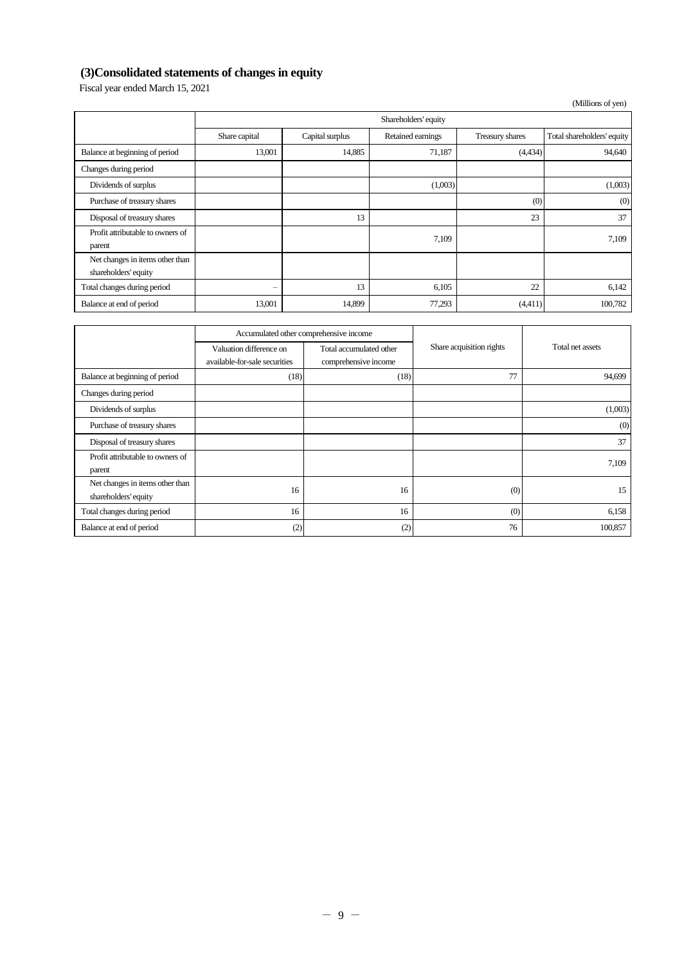# **(3)Consolidated statements of changes in equity**

Fiscal year ended March 15, 2021

|                                                         |               |                      |                   |                 | (Millions of yen)          |  |  |
|---------------------------------------------------------|---------------|----------------------|-------------------|-----------------|----------------------------|--|--|
|                                                         |               | Shareholders' equity |                   |                 |                            |  |  |
|                                                         | Share capital | Capital surplus      | Retained earnings | Treasury shares | Total shareholders' equity |  |  |
| Balance at beginning of period                          | 13,001        | 14,885               | 71,187            | (4,434)         | 94,640                     |  |  |
| Changes during period                                   |               |                      |                   |                 |                            |  |  |
| Dividends of surplus                                    |               |                      | (1,003)           |                 | (1,003)                    |  |  |
| Purchase of treasury shares                             |               |                      |                   | (0)             | (0)                        |  |  |
| Disposal of treasury shares                             |               | 13                   |                   | 23              | 37                         |  |  |
| Profit attributable to owners of<br>parent              |               |                      | 7,109             |                 | 7,109                      |  |  |
| Net changes in items other than<br>shareholders' equity |               |                      |                   |                 |                            |  |  |
| Total changes during period                             | -             | 13                   | 6,105             | 22              | 6,142                      |  |  |
| Balance at end of period                                | 13,001        | 14,899               | 77,293            | (4,411)         | 100,782                    |  |  |

|                                                         | Accumulated other comprehensive income                   |                                                 |                          |                  |
|---------------------------------------------------------|----------------------------------------------------------|-------------------------------------------------|--------------------------|------------------|
|                                                         | Valuation difference on<br>available-for-sale securities | Total accumulated other<br>comprehensive income | Share acquisition rights | Total net assets |
| Balance at beginning of period                          | (18)                                                     | (18)                                            | 77                       | 94,699           |
| Changes during period                                   |                                                          |                                                 |                          |                  |
| Dividends of surplus                                    |                                                          |                                                 |                          | (1,003)          |
| Purchase of treasury shares                             |                                                          |                                                 |                          | (0)              |
| Disposal of treasury shares                             |                                                          |                                                 |                          | 37               |
| Profit attributable to owners of<br>parent              |                                                          |                                                 |                          | 7,109            |
| Net changes in items other than<br>shareholders' equity | 16                                                       | 16                                              | (0)                      | 15               |
| Total changes during period                             | 16                                                       | 16                                              | (0)                      | 6,158            |
| Balance at end of period                                | (2)                                                      | (2)                                             | 76                       | 100,857          |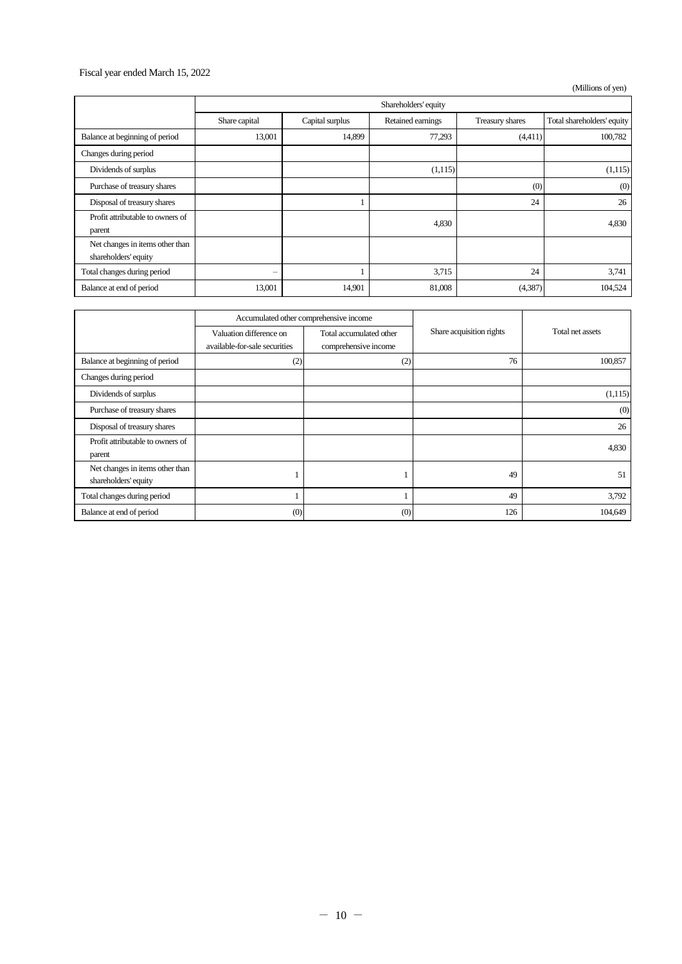## Fiscal year ended March 15, 2022

(Millions of yen)

|                                  | Shareholders' equity |                 |                   |                 |                            |
|----------------------------------|----------------------|-----------------|-------------------|-----------------|----------------------------|
|                                  | Share capital        | Capital surplus | Retained earnings | Treasury shares | Total shareholders' equity |
| Balance at beginning of period   | 13,001               | 14,899          | 77,293            | (4,411)         | 100,782                    |
| Changes during period            |                      |                 |                   |                 |                            |
| Dividends of surplus             |                      |                 | (1,115)           |                 | (1,115)                    |
| Purchase of treasury shares      |                      |                 |                   | (0)             | (0)                        |
| Disposal of treasury shares      |                      |                 |                   | 24              | 26                         |
| Profit attributable to owners of |                      |                 | 4,830             |                 | 4,830                      |
| parent                           |                      |                 |                   |                 |                            |
| Net changes in items other than  |                      |                 |                   |                 |                            |
| shareholders' equity             |                      |                 |                   |                 |                            |
| Total changes during period      | -                    |                 | 3,715             | 24              | 3,741                      |
| Balance at end of period         | 13,001               | 14,901          | 81,008            | (4,387)         | 104,524                    |

|                                                         | Accumulated other comprehensive income                   |                                                 |                          |                  |
|---------------------------------------------------------|----------------------------------------------------------|-------------------------------------------------|--------------------------|------------------|
|                                                         | Valuation difference on<br>available-for-sale securities | Total accumulated other<br>comprehensive income | Share acquisition rights | Total net assets |
| Balance at beginning of period                          | (2)                                                      | (2)                                             | 76                       | 100,857          |
| Changes during period                                   |                                                          |                                                 |                          |                  |
| Dividends of surplus                                    |                                                          |                                                 |                          | (1,115)          |
| Purchase of treasury shares                             |                                                          |                                                 |                          | (0)              |
| Disposal of treasury shares                             |                                                          |                                                 |                          | 26               |
| Profit attributable to owners of<br>parent              |                                                          |                                                 |                          | 4,830            |
| Net changes in items other than<br>shareholders' equity |                                                          |                                                 | 49                       | 51               |
| Total changes during period                             |                                                          |                                                 | 49                       | 3,792            |
| Balance at end of period                                | (0)                                                      | (0)                                             | 126                      | 104,649          |